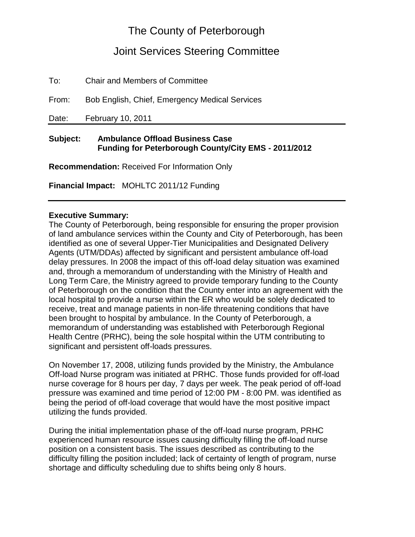# The County of Peterborough

## Joint Services Steering Committee

To: Chair and Members of Committee

From: Bob English, Chief, Emergency Medical Services

Date: February 10, 2011

## **Subject: Ambulance Offload Business Case Funding for Peterborough County/City EMS - 2011/2012**

**Recommendation:** Received For Information Only

**Financial Impact:** MOHLTC 2011/12 Funding

### **Executive Summary:**

The County of Peterborough, being responsible for ensuring the proper provision of land ambulance services within the County and City of Peterborough, has been identified as one of several Upper-Tier Municipalities and Designated Delivery Agents (UTM/DDAs) affected by significant and persistent ambulance off-load delay pressures. In 2008 the impact of this off-load delay situation was examined and, through a memorandum of understanding with the Ministry of Health and Long Term Care, the Ministry agreed to provide temporary funding to the County of Peterborough on the condition that the County enter into an agreement with the local hospital to provide a nurse within the ER who would be solely dedicated to receive, treat and manage patients in non-life threatening conditions that have been brought to hospital by ambulance. In the County of Peterborough, a memorandum of understanding was established with Peterborough Regional Health Centre (PRHC), being the sole hospital within the UTM contributing to significant and persistent off-loads pressures.

On November 17, 2008, utilizing funds provided by the Ministry, the Ambulance Off-load Nurse program was initiated at PRHC. Those funds provided for off-load nurse coverage for 8 hours per day, 7 days per week. The peak period of off-load pressure was examined and time period of 12:00 PM - 8:00 PM. was identified as being the period of off-load coverage that would have the most positive impact utilizing the funds provided.

During the initial implementation phase of the off-load nurse program, PRHC experienced human resource issues causing difficulty filling the off-load nurse position on a consistent basis. The issues described as contributing to the difficulty filling the position included; lack of certainty of length of program, nurse shortage and difficulty scheduling due to shifts being only 8 hours.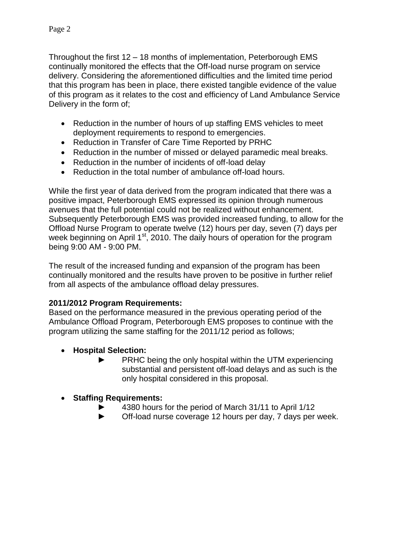Throughout the first 12 – 18 months of implementation, Peterborough EMS continually monitored the effects that the Off-load nurse program on service delivery. Considering the aforementioned difficulties and the limited time period that this program has been in place, there existed tangible evidence of the value of this program as it relates to the cost and efficiency of Land Ambulance Service Delivery in the form of;

- Reduction in the number of hours of up staffing EMS vehicles to meet deployment requirements to respond to emergencies.
- Reduction in Transfer of Care Time Reported by PRHC
- Reduction in the number of missed or delayed paramedic meal breaks.
- Reduction in the number of incidents of off-load delay
- Reduction in the total number of ambulance off-load hours.

While the first year of data derived from the program indicated that there was a positive impact, Peterborough EMS expressed its opinion through numerous avenues that the full potential could not be realized without enhancement. Subsequently Peterborough EMS was provided increased funding, to allow for the Offload Nurse Program to operate twelve (12) hours per day, seven (7) days per week beginning on April 1<sup>st</sup>, 2010. The daily hours of operation for the program being 9:00 AM - 9:00 PM.

The result of the increased funding and expansion of the program has been continually monitored and the results have proven to be positive in further relief from all aspects of the ambulance offload delay pressures.

## **2011/2012 Program Requirements:**

Based on the performance measured in the previous operating period of the Ambulance Offload Program, Peterborough EMS proposes to continue with the program utilizing the same staffing for the 2011/12 period as follows;

- **Hospital Selection:**
	- PRHC being the only hospital within the UTM experiencing substantial and persistent off-load delays and as such is the only hospital considered in this proposal.

## **Staffing Requirements:**

- 4380 hours for the period of March 31/11 to April 1/12
- ► Off-load nurse coverage 12 hours per day, 7 days per week.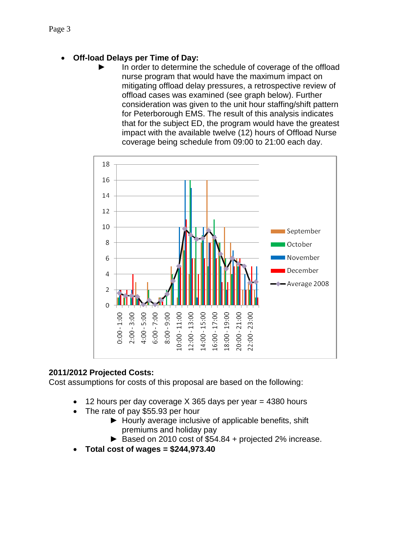- **Off-load Delays per Time of Day:**
	- In order to determine the schedule of coverage of the offload nurse program that would have the maximum impact on mitigating offload delay pressures, a retrospective review of offload cases was examined (see graph below). Further consideration was given to the unit hour staffing/shift pattern for Peterborough EMS. The result of this analysis indicates that for the subject ED, the program would have the greatest impact with the available twelve (12) hours of Offload Nurse coverage being schedule from 09:00 to 21:00 each day.



## **2011/2012 Projected Costs:**

Cost assumptions for costs of this proposal are based on the following:

- 12 hours per day coverage X 365 days per year = 4380 hours
- The rate of pay \$55.93 per hour
	- ► Hourly average inclusive of applicable benefits, shift premiums and holiday pay
	- ► Based on 2010 cost of \$54.84 + projected 2% increase.
- **Total cost of wages = \$244,973.40**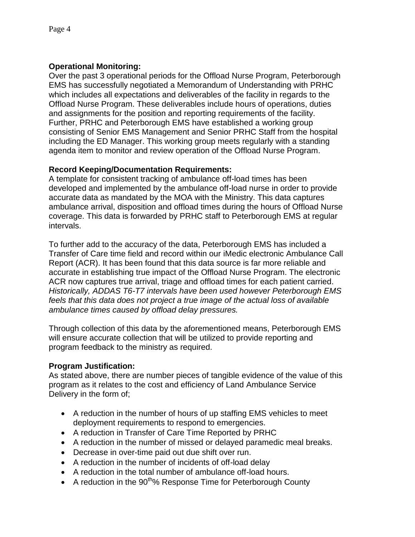### **Operational Monitoring:**

Over the past 3 operational periods for the Offload Nurse Program, Peterborough EMS has successfully negotiated a Memorandum of Understanding with PRHC which includes all expectations and deliverables of the facility in regards to the Offload Nurse Program. These deliverables include hours of operations, duties and assignments for the position and reporting requirements of the facility. Further, PRHC and Peterborough EMS have established a working group consisting of Senior EMS Management and Senior PRHC Staff from the hospital including the ED Manager. This working group meets regularly with a standing agenda item to monitor and review operation of the Offload Nurse Program.

### **Record Keeping/Documentation Requirements:**

A template for consistent tracking of ambulance off-load times has been developed and implemented by the ambulance off-load nurse in order to provide accurate data as mandated by the MOA with the Ministry. This data captures ambulance arrival, disposition and offload times during the hours of Offload Nurse coverage. This data is forwarded by PRHC staff to Peterborough EMS at regular intervals.

To further add to the accuracy of the data, Peterborough EMS has included a Transfer of Care time field and record within our iMedic electronic Ambulance Call Report (ACR). It has been found that this data source is far more reliable and accurate in establishing true impact of the Offload Nurse Program. The electronic ACR now captures true arrival, triage and offload times for each patient carried. *Historically, ADDAS T6-T7 intervals have been used however Peterborough EMS feels that this data does not project a true image of the actual loss of available ambulance times caused by offload delay pressures.*

Through collection of this data by the aforementioned means, Peterborough EMS will ensure accurate collection that will be utilized to provide reporting and program feedback to the ministry as required.

### **Program Justification:**

As stated above, there are number pieces of tangible evidence of the value of this program as it relates to the cost and efficiency of Land Ambulance Service Delivery in the form of;

- A reduction in the number of hours of up staffing EMS vehicles to meet deployment requirements to respond to emergencies.
- A reduction in Transfer of Care Time Reported by PRHC
- A reduction in the number of missed or delayed paramedic meal breaks.
- Decrease in over-time paid out due shift over run.
- A reduction in the number of incidents of off-load delay
- A reduction in the total number of ambulance off-load hours.
- A reduction in the  $90<sup>th</sup>%$  Response Time for Peterborough County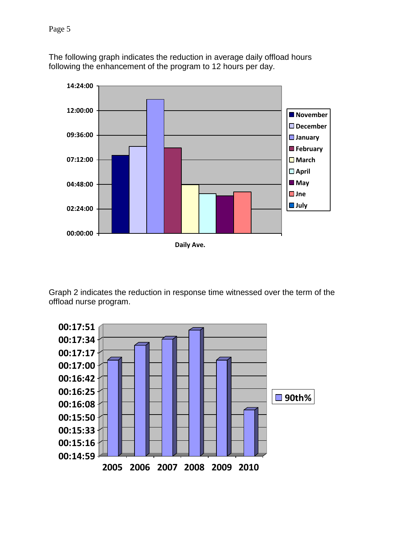The following graph indicates the reduction in average daily offload hours following the enhancement of the program to 12 hours per day.



Graph 2 indicates the reduction in response time witnessed over the term of the offload nurse program.